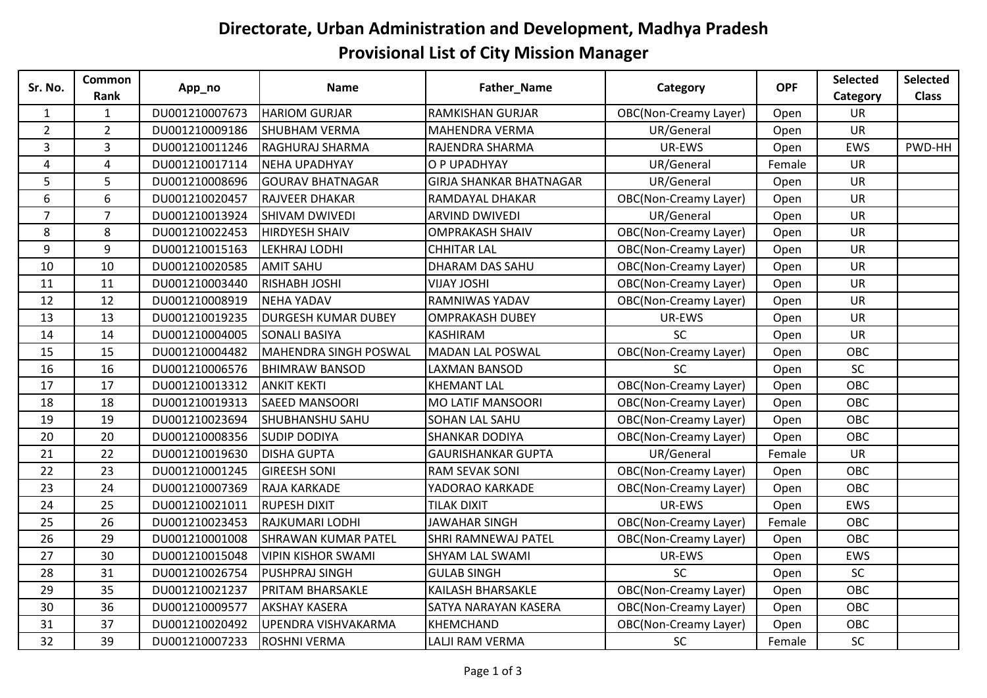## **Directorate, Urban Administration and Development, Madhya Pradesh Provisional List of City Mission Manager**

| Sr. No.          | <b>Common</b><br>Rank | App_no         | <b>Name</b>                | Father_Name                    | Category                     | <b>OPF</b> | <b>Selected</b> | Selected     |
|------------------|-----------------------|----------------|----------------------------|--------------------------------|------------------------------|------------|-----------------|--------------|
|                  |                       |                |                            |                                |                              |            | Category        | <b>Class</b> |
| $\mathbf{1}$     | $\mathbf{1}$          | DU001210007673 | <b>HARIOM GURJAR</b>       | <b>RAMKISHAN GURJAR</b>        | <b>OBC(Non-Creamy Layer)</b> | Open       | <b>UR</b>       |              |
| $\overline{2}$   | $2^{\circ}$           | DU001210009186 | <b>SHUBHAM VERMA</b>       | <b>MAHENDRA VERMA</b>          | UR/General                   | Open       | <b>UR</b>       |              |
| $\overline{3}$   | $\overline{3}$        | DU001210011246 | RAGHURAJ SHARMA            | RAJENDRA SHARMA                | UR-EWS                       | Open       | EWS             | PWD-HH       |
| $\overline{4}$   | 4                     | DU001210017114 | NEHA UPADHYAY              | O P UPADHYAY                   | UR/General                   | Female     | UR              |              |
| 5                | 5                     | DU001210008696 | <b>GOURAV BHATNAGAR</b>    | <b>GIRJA SHANKAR BHATNAGAR</b> | UR/General                   | Open       | <b>UR</b>       |              |
| $\boldsymbol{6}$ | 6                     | DU001210020457 | <b>RAJVEER DHAKAR</b>      | RAMDAYAL DHAKAR                | <b>OBC(Non-Creamy Layer)</b> | Open       | UR              |              |
| $\overline{7}$   | $\overline{7}$        | DU001210013924 | <b>SHIVAM DWIVEDI</b>      | <b>ARVIND DWIVEDI</b>          | UR/General                   | Open       | <b>UR</b>       |              |
| 8                | 8                     | DU001210022453 | <b>HIRDYESH SHAIV</b>      | <b>OMPRAKASH SHAIV</b>         | <b>OBC(Non-Creamy Layer)</b> | Open       | UR              |              |
| 9                | 9                     | DU001210015163 | LEKHRAJ LODHI              | <b>CHHITAR LAL</b>             | <b>OBC(Non-Creamy Layer)</b> | Open       | UR              |              |
| 10               | 10                    | DU001210020585 | <b>AMIT SAHU</b>           | DHARAM DAS SAHU                | <b>OBC(Non-Creamy Layer)</b> | Open       | UR              |              |
| 11               | 11                    | DU001210003440 | <b>RISHABH JOSHI</b>       | <b>VIJAY JOSHI</b>             | <b>OBC(Non-Creamy Layer)</b> | Open       | UR              |              |
| 12               | 12                    | DU001210008919 | NEHA YADAV                 | RAMNIWAS YADAV                 | <b>OBC(Non-Creamy Layer)</b> | Open       | UR              |              |
| 13               | 13                    | DU001210019235 | <b>DURGESH KUMAR DUBEY</b> | <b>OMPRAKASH DUBEY</b>         | UR-EWS                       | Open       | <b>UR</b>       |              |
| 14               | 14                    | DU001210004005 | <b>SONALI BASIYA</b>       | <b>KASHIRAM</b>                | SC                           | Open       | UR              |              |
| 15               | 15                    | DU001210004482 | MAHENDRA SINGH POSWAL      | <b>MADAN LAL POSWAL</b>        | <b>OBC(Non-Creamy Layer)</b> | Open       | OBC             |              |
| 16               | 16                    | DU001210006576 | <b>BHIMRAW BANSOD</b>      | LAXMAN BANSOD                  | SC                           | Open       | SC              |              |
| 17               | 17                    | DU001210013312 | <b>ANKIT KEKTI</b>         | <b>KHEMANT LAL</b>             | <b>OBC(Non-Creamy Layer)</b> | Open       | OBC             |              |
| 18               | 18                    | DU001210019313 | <b>SAEED MANSOORI</b>      | <b>MO LATIF MANSOORI</b>       | <b>OBC(Non-Creamy Layer)</b> | Open       | <b>OBC</b>      |              |
| 19               | 19                    | DU001210023694 | <b>SHUBHANSHU SAHU</b>     | <b>SOHAN LAL SAHU</b>          | <b>OBC(Non-Creamy Layer)</b> | Open       | OBC             |              |
| 20               | 20                    | DU001210008356 | <b>SUDIP DODIYA</b>        | <b>SHANKAR DODIYA</b>          | <b>OBC(Non-Creamy Layer)</b> | Open       | OBC             |              |
| 21               | 22                    | DU001210019630 | <b>DISHA GUPTA</b>         | <b>GAURISHANKAR GUPTA</b>      | UR/General                   | Female     | <b>UR</b>       |              |
| 22               | 23                    | DU001210001245 | <b>GIREESH SONI</b>        | <b>RAM SEVAK SONI</b>          | <b>OBC(Non-Creamy Layer)</b> | Open       | OBC             |              |
| 23               | 24                    | DU001210007369 | <b>RAJA KARKADE</b>        | YADORAO KARKADE                | <b>OBC(Non-Creamy Layer)</b> | Open       | OBC             |              |
| 24               | 25                    | DU001210021011 | <b>RUPESH DIXIT</b>        | <b>TILAK DIXIT</b>             | UR-EWS                       | Open       | EWS             |              |
| 25               | 26                    | DU001210023453 | RAJKUMARI LODHI            | <b>JAWAHAR SINGH</b>           | <b>OBC(Non-Creamy Layer)</b> | Female     | OBC             |              |
| 26               | 29                    | DU001210001008 | <b>SHRAWAN KUMAR PATEL</b> | <b>SHRI RAMNEWAJ PATEL</b>     | <b>OBC(Non-Creamy Layer)</b> | Open       | <b>OBC</b>      |              |
| 27               | 30                    | DU001210015048 | <b>VIPIN KISHOR SWAMI</b>  | <b>SHYAM LAL SWAMI</b>         | UR-EWS                       | Open       | EWS             |              |
| 28               | 31                    | DU001210026754 | <b>PUSHPRAJ SINGH</b>      | <b>GULAB SINGH</b>             | SC                           | Open       | SC              |              |
| 29               | 35                    | DU001210021237 | <b>PRITAM BHARSAKLE</b>    | <b>KAILASH BHARSAKLE</b>       | <b>OBC(Non-Creamy Layer)</b> | Open       | OBC             |              |
| 30               | 36                    | DU001210009577 | <b>AKSHAY KASERA</b>       | SATYA NARAYAN KASERA           | <b>OBC(Non-Creamy Layer)</b> | Open       | OBC             |              |
| 31               | 37                    | DU001210020492 | UPENDRA VISHVAKARMA        | <b>KHEMCHAND</b>               | <b>OBC(Non-Creamy Layer)</b> | Open       | OBC             |              |
| 32               | 39                    | DU001210007233 | <b>ROSHNI VERMA</b>        | LALJI RAM VERMA                | SC                           | Female     | SC              |              |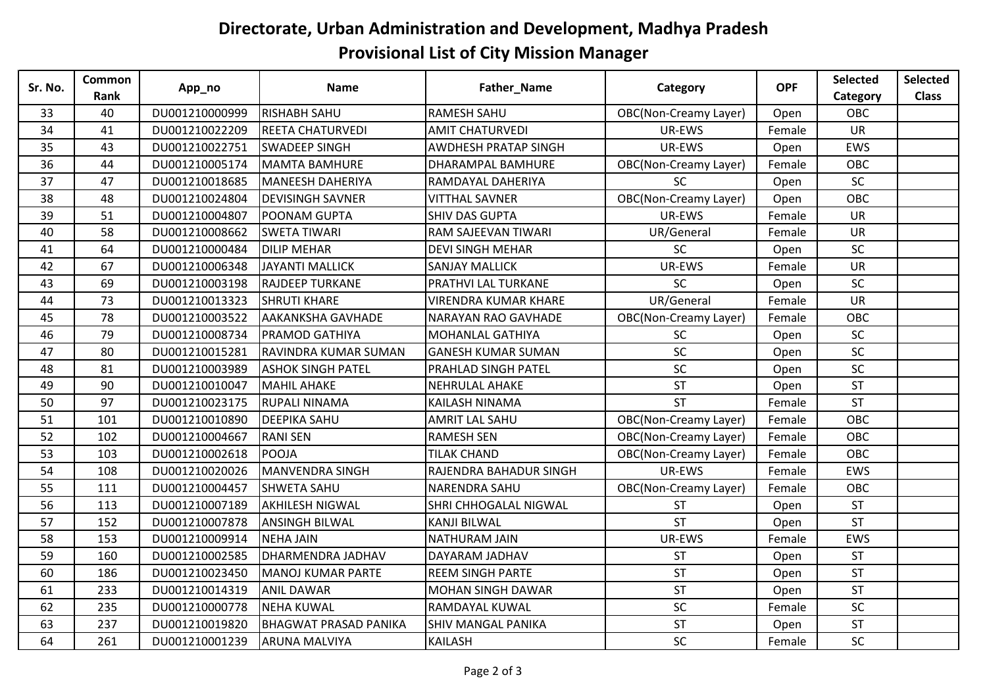## **Directorate, Urban Administration and Development, Madhya Pradesh Provisional List of City Mission Manager**

| Sr. No. | Common<br>Rank | App_no         | <b>Name</b>                  | Father_Name                  | Category                     | <b>OPF</b> | Selected   | Selected     |
|---------|----------------|----------------|------------------------------|------------------------------|------------------------------|------------|------------|--------------|
|         |                |                |                              |                              |                              |            | Category   | <b>Class</b> |
| 33      | 40             | DU001210000999 | <b>RISHABH SAHU</b>          | <b>RAMESH SAHU</b>           | <b>OBC(Non-Creamy Layer)</b> | Open       | OBC        |              |
| 34      | 41             | DU001210022209 | <b>REETA CHATURVEDI</b>      | <b>AMIT CHATURVEDI</b>       | UR-EWS                       | Female     | <b>UR</b>  |              |
| 35      | 43             | DU001210022751 | <b>SWADEEP SINGH</b>         | AWDHESH PRATAP SINGH         | UR-EWS                       | Open       | EWS        |              |
| 36      | 44             | DU001210005174 | MAMTA BAMHURE                | <b>DHARAMPAL BAMHURE</b>     | <b>OBC(Non-Creamy Layer)</b> | Female     | <b>OBC</b> |              |
| 37      | 47             | DU001210018685 | MANEESH DAHERIYA             | RAMDAYAL DAHERIYA            | <b>SC</b>                    | Open       | <b>SC</b>  |              |
| 38      | 48             | DU001210024804 | <b>DEVISINGH SAVNER</b>      | <b>VITTHAL SAVNER</b>        | <b>OBC(Non-Creamy Layer)</b> | Open       | OBC        |              |
| 39      | 51             | DU001210004807 | POONAM GUPTA                 | <b>SHIV DAS GUPTA</b>        | UR-EWS                       | Female     | UR         |              |
| 40      | 58             | DU001210008662 | <b>SWETA TIWARI</b>          | RAM SAJEEVAN TIWARI          | UR/General                   | Female     | <b>UR</b>  |              |
| 41      | 64             | DU001210000484 | <b>DILIP MEHAR</b>           | <b>DEVI SINGH MEHAR</b>      | SC                           | Open       | <b>SC</b>  |              |
| 42      | 67             | DU001210006348 | <b>JAYANTI MALLICK</b>       | <b>SANJAY MALLICK</b>        | UR-EWS                       | Female     | UR         |              |
| 43      | 69             | DU001210003198 | <b>RAJDEEP TURKANE</b>       | <b>PRATHVI LAL TURKANE</b>   | SC                           | Open       | SC         |              |
| 44      | 73             | DU001210013323 | <b>SHRUTI KHARE</b>          | <b>VIRENDRA KUMAR KHARE</b>  | UR/General                   | Female     | <b>UR</b>  |              |
| 45      | 78             | DU001210003522 | <b>AAKANKSHA GAVHADE</b>     | <b>NARAYAN RAO GAVHADE</b>   | <b>OBC(Non-Creamy Layer)</b> | Female     | OBC        |              |
| 46      | 79             | DU001210008734 | <b>PRAMOD GATHIYA</b>        | <b>MOHANLAL GATHIYA</b>      | <b>SC</b>                    | Open       | SC         |              |
| 47      | 80             | DU001210015281 | RAVINDRA KUMAR SUMAN         | <b>GANESH KUMAR SUMAN</b>    | SC                           | Open       | $\sf SC$   |              |
| 48      | 81             | DU001210003989 | <b>ASHOK SINGH PATEL</b>     | <b>PRAHLAD SINGH PATEL</b>   | SC                           | Open       | SC         |              |
| 49      | 90             | DU001210010047 | MAHIL AHAKE                  | <b>NEHRULAL AHAKE</b>        | <b>ST</b>                    | Open       | <b>ST</b>  |              |
| 50      | 97             | DU001210023175 | <b>RUPALI NINAMA</b>         | KAILASH NINAMA               | <b>ST</b>                    | Female     | <b>ST</b>  |              |
| 51      | 101            | DU001210010890 | <b>DEEPIKA SAHU</b>          | <b>AMRIT LAL SAHU</b>        | <b>OBC(Non-Creamy Layer)</b> | Female     | OBC        |              |
| 52      | 102            | DU001210004667 | <b>RANI SEN</b>              | <b>RAMESH SEN</b>            | <b>OBC(Non-Creamy Layer)</b> | Female     | OBC        |              |
| 53      | 103            | DU001210002618 | POOJA                        | <b>TILAK CHAND</b>           | <b>OBC(Non-Creamy Layer)</b> | Female     | OBC        |              |
| 54      | 108            | DU001210020026 | MANVENDRA SINGH              | RAJENDRA BAHADUR SINGH       | UR-EWS                       | Female     | EWS        |              |
| 55      | 111            | DU001210004457 | <b>SHWETA SAHU</b>           | <b>NARENDRA SAHU</b>         | <b>OBC(Non-Creamy Layer)</b> | Female     | OBC        |              |
| 56      | 113            | DU001210007189 | <b>AKHILESH NIGWAL</b>       | <b>SHRI CHHOGALAL NIGWAL</b> | <b>ST</b>                    | Open       | <b>ST</b>  |              |
| 57      | 152            | DU001210007878 | <b>ANSINGH BILWAL</b>        | <b>KANJI BILWAL</b>          | <b>ST</b>                    | Open       | <b>ST</b>  |              |
| 58      | 153            | DU001210009914 | <b>NEHA JAIN</b>             | <b>NATHURAM JAIN</b>         | UR-EWS                       | Female     | EWS        |              |
| 59      | 160            | DU001210002585 | <b>DHARMENDRA JADHAV</b>     | DAYARAM JADHAV               | <b>ST</b>                    | Open       | <b>ST</b>  |              |
| 60      | 186            | DU001210023450 | MANOJ KUMAR PARTE            | <b>REEM SINGH PARTE</b>      | <b>ST</b>                    | Open       | <b>ST</b>  |              |
| 61      | 233            | DU001210014319 | <b>ANIL DAWAR</b>            | <b>MOHAN SINGH DAWAR</b>     | <b>ST</b>                    | Open       | <b>ST</b>  |              |
| 62      | 235            | DU001210000778 | <b>NEHA KUWAL</b>            | RAMDAYAL KUWAL               | SC                           | Female     | SC         |              |
| 63      | 237            | DU001210019820 | <b>BHAGWAT PRASAD PANIKA</b> | SHIV MANGAL PANIKA           | <b>ST</b>                    | Open       | <b>ST</b>  |              |
| 64      | 261            | DU001210001239 | <b>ARUNA MALVIYA</b>         | <b>KAILASH</b>               | SC                           | Female     | SC         |              |